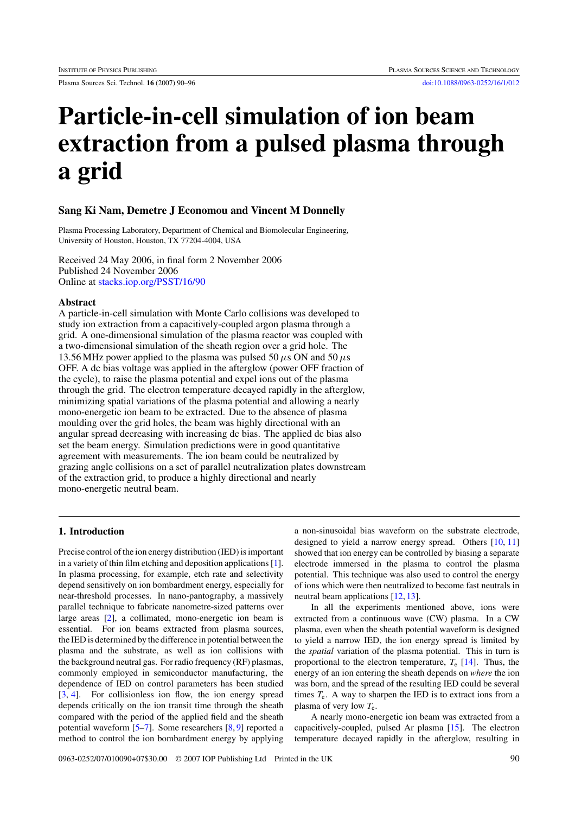Plasma Sources Sci. Technol. **16** (2007) 90–96 [doi:10.1088/0963-0252/16/1/012](http://dx.doi.org/10.1088/0963-0252/16/1/012)

# **Particle-in-cell simulation of ion beam extraction from a pulsed plasma through a grid**

## **Sang Ki Nam, Demetre J Economou and Vincent M Donnelly**

Plasma Processing Laboratory, Department of Chemical and Biomolecular Engineering, University of Houston, Houston, TX 77204-4004, USA

Received 24 May 2006, in final form 2 November 2006 Published 24 November 2006 Online at [stacks.iop.org/PSST/16/90](http://stacks.iop.org/ps/16/90)

## **Abstract**

A particle-in-cell simulation with Monte Carlo collisions was developed to study ion extraction from a capacitively-coupled argon plasma through a grid. A one-dimensional simulation of the plasma reactor was coupled with a two-dimensional simulation of the sheath region over a grid hole. The 13.56 MHz power applied to the plasma was pulsed 50  $\mu$ s ON and 50  $\mu$ s OFF. A dc bias voltage was applied in the afterglow (power OFF fraction of the cycle), to raise the plasma potential and expel ions out of the plasma through the grid. The electron temperature decayed rapidly in the afterglow, minimizing spatial variations of the plasma potential and allowing a nearly mono-energetic ion beam to be extracted. Due to the absence of plasma moulding over the grid holes, the beam was highly directional with an angular spread decreasing with increasing dc bias. The applied dc bias also set the beam energy. Simulation predictions were in good quantitative agreement with measurements. The ion beam could be neutralized by grazing angle collisions on a set of parallel neutralization plates downstream of the extraction grid, to produce a highly directional and nearly mono-energetic neutral beam.

# **1. Introduction**

Precise control of the ion energy distribution (IED) is important in a variety of thin film etching and deposition applications [\[1\]](#page-6-0). In plasma processing, for example, etch rate and selectivity depend sensitively on ion bombardment energy, especially for near-threshold processes. In nano-pantography, a massively parallel technique to fabricate nanometre-sized patterns over large areas [\[2\]](#page-6-0), a collimated, mono-energetic ion beam is essential. For ion beams extracted from plasma sources, the IED is determined by the difference in potential between the plasma and the substrate, as well as ion collisions with the background neutral gas. For radio frequency (RF) plasmas, commonly employed in semiconductor manufacturing, the dependence of IED on control parameters has been studied [\[3,](#page-6-0) [4\]](#page-6-0). For collisionless ion flow, the ion energy spread depends critically on the ion transit time through the sheath compared with the period of the applied field and the sheath potential waveform [\[5–7\]](#page-6-0). Some researchers [\[8,](#page-6-0) [9\]](#page-6-0) reported a method to control the ion bombardment energy by applying

a non-sinusoidal bias waveform on the substrate electrode, designed to yield a narrow energy spread. Others [\[10,](#page-6-0) [11\]](#page-6-0) showed that ion energy can be controlled by biasing a separate electrode immersed in the plasma to control the plasma potential. This technique was also used to control the energy of ions which were then neutralized to become fast neutrals in neutral beam applications [\[12,](#page-6-0) [13\]](#page-6-0).

In all the experiments mentioned above, ions were extracted from a continuous wave (CW) plasma. In a CW plasma, even when the sheath potential waveform is designed to yield a narrow IED, the ion energy spread is limited by the *spatial* variation of the plasma potential. This in turn is proportional to the electron temperature, *T*<sup>e</sup> [\[14\]](#page-6-0). Thus, the energy of an ion entering the sheath depends on *where* the ion was born, and the spread of the resulting IED could be several times  $T_e$ . A way to sharpen the IED is to extract ions from a plasma of very low *T*e.

A nearly mono-energetic ion beam was extracted from a capacitively-coupled, pulsed Ar plasma [\[15\]](#page-6-0). The electron temperature decayed rapidly in the afterglow, resulting in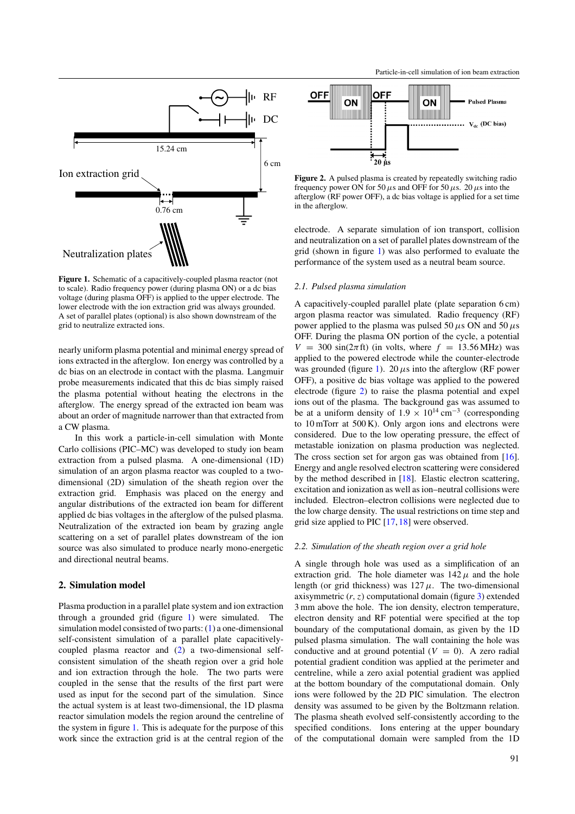<span id="page-1-0"></span>

**Figure 1.** Schematic of a capacitively-coupled plasma reactor (not to scale). Radio frequency power (during plasma ON) or a dc bias voltage (during plasma OFF) is applied to the upper electrode. The lower electrode with the ion extraction grid was always grounded. A set of parallel plates (optional) is also shown downstream of the grid to neutralize extracted ions.

nearly uniform plasma potential and minimal energy spread of ions extracted in the afterglow. Ion energy was controlled by a dc bias on an electrode in contact with the plasma. Langmuir probe measurements indicated that this dc bias simply raised the plasma potential without heating the electrons in the afterglow. The energy spread of the extracted ion beam was about an order of magnitude narrower than that extracted from a CW plasma.

In this work a particle-in-cell simulation with Monte Carlo collisions (PIC–MC) was developed to study ion beam extraction from a pulsed plasma. A one-dimensional (1D) simulation of an argon plasma reactor was coupled to a twodimensional (2D) simulation of the sheath region over the extraction grid. Emphasis was placed on the energy and angular distributions of the extracted ion beam for different applied dc bias voltages in the afterglow of the pulsed plasma. Neutralization of the extracted ion beam by grazing angle scattering on a set of parallel plates downstream of the ion source was also simulated to produce nearly mono-energetic and directional neutral beams.

## **2. Simulation model**

Plasma production in a parallel plate system and ion extraction through a grounded grid (figure 1) were simulated. The simulation model consisted of two parts: [\(1\)](#page-2-0) a one-dimensional self-consistent simulation of a parallel plate capacitivelycoupled plasma reactor and [\(2\)](#page-4-0) a two-dimensional selfconsistent simulation of the sheath region over a grid hole and ion extraction through the hole. The two parts were coupled in the sense that the results of the first part were used as input for the second part of the simulation. Since the actual system is at least two-dimensional, the 1D plasma reactor simulation models the region around the centreline of the system in figure 1. This is adequate for the purpose of this work since the extraction grid is at the central region of the



**Figure 2.** A pulsed plasma is created by repeatedly switching radio frequency power ON for 50  $\mu$ s and OFF for 50  $\mu$ s. 20  $\mu$ s into the afterglow (RF power OFF), a dc bias voltage is applied for a set time in the afterglow.

electrode. A separate simulation of ion transport, collision and neutralization on a set of parallel plates downstream of the grid (shown in figure 1) was also performed to evaluate the performance of the system used as a neutral beam source.

## *2.1. Pulsed plasma simulation*

A capacitively-coupled parallel plate (plate separation 6 cm) argon plasma reactor was simulated. Radio frequency (RF) power applied to the plasma was pulsed 50  $\mu$ s ON and 50  $\mu$ s OFF. During the plasma ON portion of the cycle, a potential  $V = 300 \sin(2\pi ft)$  (in volts, where  $f = 13.56 \text{ MHz}$ ) was applied to the powered electrode while the counter-electrode was grounded (figure 1). 20  $\mu$ s into the afterglow (RF power OFF), a positive dc bias voltage was applied to the powered electrode (figure 2) to raise the plasma potential and expel ions out of the plasma. The background gas was assumed to be at a uniform density of  $1.9 \times 10^{14} \text{ cm}^{-3}$  (corresponding to 10 mTorr at 500 K). Only argon ions and electrons were considered. Due to the low operating pressure, the effect of metastable ionization on plasma production was neglected. The cross section set for argon gas was obtained from [\[16\]](#page-6-0). Energy and angle resolved electron scattering were considered by the method described in [\[18\]](#page-6-0). Elastic electron scattering, excitation and ionization as well as ion–neutral collisions were included. Electron–electron collisions were neglected due to the low charge density. The usual restrictions on time step and grid size applied to PIC [\[17,](#page-6-0) [18\]](#page-6-0) were observed.

#### *2.2. Simulation of the sheath region over a grid hole*

A single through hole was used as a simplification of an extraction grid. The hole diameter was  $142 \mu$  and the hole length (or grid thickness) was  $127 \mu$ . The two-dimensional axisymmetric  $(r, z)$  computational domain (figure [3\)](#page-2-0) extended 3 mm above the hole. The ion density, electron temperature, electron density and RF potential were specified at the top boundary of the computational domain, as given by the 1D pulsed plasma simulation. The wall containing the hole was conductive and at ground potential  $(V = 0)$ . A zero radial potential gradient condition was applied at the perimeter and centreline, while a zero axial potential gradient was applied at the bottom boundary of the computational domain. Only ions were followed by the 2D PIC simulation. The electron density was assumed to be given by the Boltzmann relation. The plasma sheath evolved self-consistently according to the specified conditions. Ions entering at the upper boundary of the computational domain were sampled from the 1D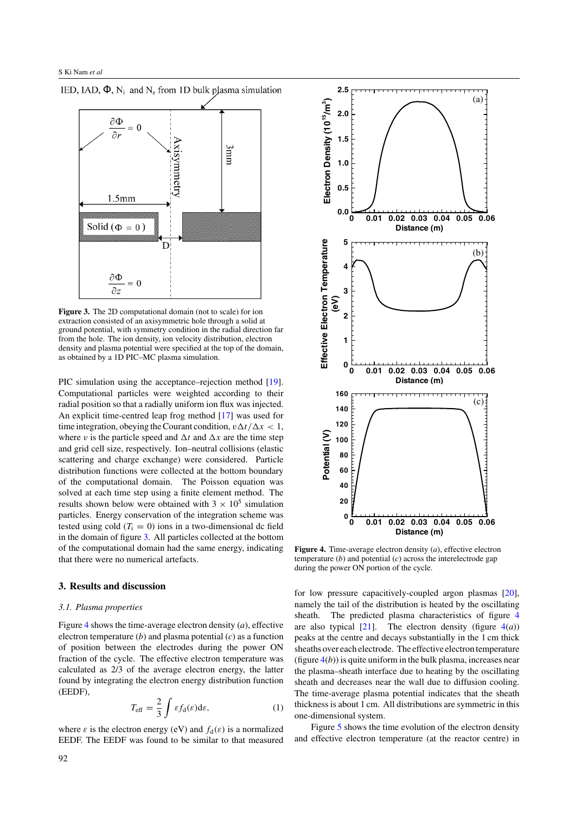<span id="page-2-0"></span>



**Figure 3.** The 2D computational domain (not to scale) for ion extraction consisted of an axisymmetric hole through a solid at ground potential, with symmetry condition in the radial direction far from the hole. The ion density, ion velocity distribution, electron density and plasma potential were specified at the top of the domain, as obtained by a 1D PIC–MC plasma simulation.

PIC simulation using the acceptance–rejection method [\[19\]](#page-6-0). Computational particles were weighted according to their radial position so that a radially uniform ion flux was injected. An explicit time-centred leap frog method [\[17\]](#page-6-0) was used for time integration, obeying the Courant condition,  $v \Delta t / \Delta x < 1$ , where *v* is the particle speed and  $\Delta t$  and  $\Delta x$  are the time step and grid cell size, respectively. Ion–neutral collisions (elastic scattering and charge exchange) were considered. Particle distribution functions were collected at the bottom boundary of the computational domain. The Poisson equation was solved at each time step using a finite element method. The results shown below were obtained with  $3 \times 10^5$  simulation particles. Energy conservation of the integration scheme was tested using cold  $(T<sub>i</sub> = 0)$  ions in a two-dimensional dc field in the domain of figure 3. All particles collected at the bottom of the computational domain had the same energy, indicating that there were no numerical artefacts.

#### **3. Results and discussion**

#### *3.1. Plasma properties*

Figure 4 shows the time-average electron density (*a*), effective electron temperature (*b*) and plasma potential (*c*) as a function of position between the electrodes during the power ON fraction of the cycle. The effective electron temperature was calculated as 2/3 of the average electron energy, the latter found by integrating the electron energy distribution function (EEDF),

$$
T_{\text{eff}} = \frac{2}{3} \int \varepsilon f_{\text{d}}(\varepsilon) \text{d}\varepsilon, \tag{1}
$$

where  $\varepsilon$  is the electron energy (eV) and  $f_d(\varepsilon)$  is a normalized EEDF. The EEDF was found to be similar to that measured



**Figure 4.** Time-average electron density (*a*), effective electron temperature (*b*) and potential (*c*) across the interelectrode gap during the power ON portion of the cycle.

for low pressure capacitively-coupled argon plasmas [\[20\]](#page-6-0), namely the tail of the distribution is heated by the oscillating sheath. The predicted plasma characteristics of figure 4 are also typical  $[21]$ . The electron density (figure  $4(a)$ ) peaks at the centre and decays substantially in the 1 cm thick sheaths over each electrode. The effective electron temperature (figure  $4(b)$ ) is quite uniform in the bulk plasma, increases near the plasma–sheath interface due to heating by the oscillating sheath and decreases near the wall due to diffusion cooling. The time-average plasma potential indicates that the sheath thickness is about 1 cm. All distributions are symmetric in this one-dimensional system.

Figure [5](#page-3-0) shows the time evolution of the electron density and effective electron temperature (at the reactor centre) in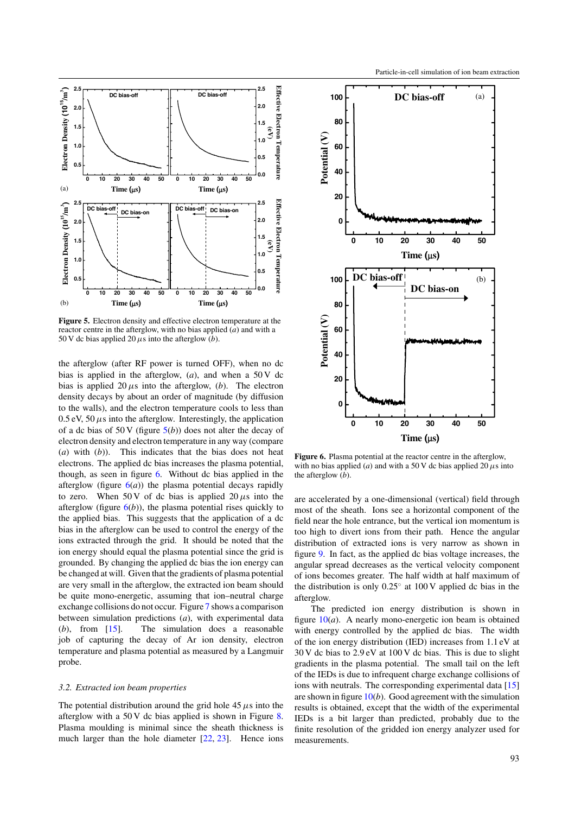<span id="page-3-0"></span>

**Figure 5.** Electron density and effective electron temperature at the reactor centre in the afterglow, with no bias applied (*a*) and with a 50 V dc bias applied 20  $\mu$ s into the afterglow (*b*).

the afterglow (after RF power is turned OFF), when no dc bias is applied in the afterglow,  $(a)$ , and when a 50 V dc bias is applied  $20 \mu s$  into the afterglow, (*b*). The electron density decays by about an order of magnitude (by diffusion to the walls), and the electron temperature cools to less than  $0.5 \text{ eV}$ ,  $50 \mu s$  into the afterglow. Interestingly, the application of a dc bias of 50 V (figure  $5(b)$ ) does not alter the decay of electron density and electron temperature in any way (compare (*a*) with (*b*)). This indicates that the bias does not heat electrons. The applied dc bias increases the plasma potential, though, as seen in figure 6. Without dc bias applied in the afterglow (figure  $6(a)$ ) the plasma potential decays rapidly to zero. When 50 V of dc bias is applied  $20 \mu s$  into the afterglow (figure  $6(b)$ ), the plasma potential rises quickly to the applied bias. This suggests that the application of a dc bias in the afterglow can be used to control the energy of the ions extracted through the grid. It should be noted that the ion energy should equal the plasma potential since the grid is grounded. By changing the applied dc bias the ion energy can be changed at will. Given that the gradients of plasma potential are very small in the afterglow, the extracted ion beam should be quite mono-energetic, assuming that ion–neutral charge exchange collisions do not occur. Figure [7](#page-4-0) shows a comparison between simulation predictions (*a*), with experimental data (*b*), from [\[15\]](#page-6-0). The simulation does a reasonable job of capturing the decay of Ar ion density, electron temperature and plasma potential as measured by a Langmuir probe.

#### *3.2. Extracted ion beam properties*

The potential distribution around the grid hole  $45 \mu s$  into the afterglow with a 50 V dc bias applied is shown in Figure [8.](#page-4-0) Plasma moulding is minimal since the sheath thickness is much larger than the hole diameter [\[22,](#page-6-0) [23\]](#page-6-0). Hence ions



**Figure 6.** Plasma potential at the reactor centre in the afterglow, with no bias applied (*a*) and with a 50 V dc bias applied 20  $\mu$ s into the afterglow (*b*).

are accelerated by a one-dimensional (vertical) field through most of the sheath. Ions see a horizontal component of the field near the hole entrance, but the vertical ion momentum is too high to divert ions from their path. Hence the angular distribution of extracted ions is very narrow as shown in figure [9.](#page-4-0) In fact, as the applied dc bias voltage increases, the angular spread decreases as the vertical velocity component of ions becomes greater. The half width at half maximum of the distribution is only  $0.25^\circ$  at 100 V applied dc bias in the afterglow.

The predicted ion energy distribution is shown in figure [10\(](#page-5-0)*a*). A nearly mono-energetic ion beam is obtained with energy controlled by the applied dc bias. The width of the ion energy distribution (IED) increases from 1.1 eV at 30 V dc bias to 2.9 eV at 100 V dc bias. This is due to slight gradients in the plasma potential. The small tail on the left of the IEDs is due to infrequent charge exchange collisions of ions with neutrals. The corresponding experimental data [\[15\]](#page-6-0) are shown in figure [10\(](#page-5-0)*b*). Good agreement with the simulation results is obtained, except that the width of the experimental IEDs is a bit larger than predicted, probably due to the finite resolution of the gridded ion energy analyzer used for measurements.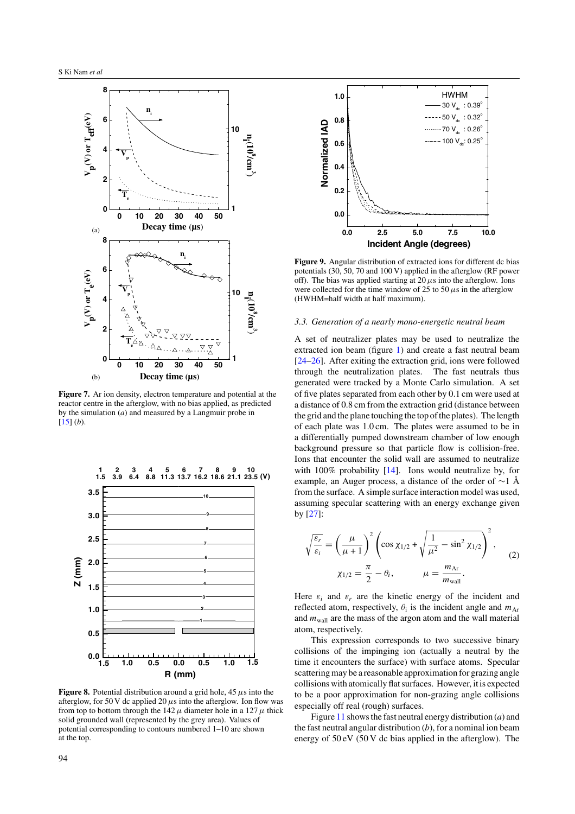<span id="page-4-0"></span>

**Figure 7.** Ar ion density, electron temperature and potential at the reactor centre in the afterglow, with no bias applied, as predicted by the simulation (*a*) and measured by a Langmuir probe in  $[15] (b).$  $[15] (b).$ 



**Figure 8.** Potential distribution around a grid hole, 45  $\mu$ s into the afterglow, for 50 V dc applied 20  $\mu$ s into the afterglow. Ion flow was from top to bottom through the  $142 \mu$  diameter hole in a  $127 \mu$  thick solid grounded wall (represented by the grey area). Values of potential corresponding to contours numbered 1–10 are shown at the top.



**Figure 9.** Angular distribution of extracted ions for different dc bias potentials (30, 50, 70 and 100 V) applied in the afterglow (RF power off). The bias was applied starting at  $20 \mu s$  into the afterglow. Ions were collected for the time window of 25 to 50  $\mu$ s in the afterglow (HWHM=half width at half maximum).

#### *3.3. Generation of a nearly mono-energetic neutral beam*

A set of neutralizer plates may be used to neutralize the extracted ion beam (figure [1\)](#page-1-0) and create a fast neutral beam [\[24–26\]](#page-6-0). After exiting the extraction grid, ions were followed through the neutralization plates. The fast neutrals thus generated were tracked by a Monte Carlo simulation. A set of five plates separated from each other by 0.1 cm were used at a distance of 0.8 cm from the extraction grid (distance between the grid and the plane touching the top of the plates). The length of each plate was 1.0 cm. The plates were assumed to be in a differentially pumped downstream chamber of low enough background pressure so that particle flow is collision-free. Ions that encounter the solid wall are assumed to neutralize with 100% probability [\[14\]](#page-6-0). Ions would neutralize by, for example, an Auger process, a distance of the order of ∼1 Å from the surface. A simple surface interaction model was used, assuming specular scattering with an energy exchange given by [\[27\]](#page-6-0):

$$
\sqrt{\frac{\varepsilon_r}{\varepsilon_i}} = \left(\frac{\mu}{\mu+1}\right)^2 \left(\cos \chi_{1/2} + \sqrt{\frac{1}{\mu^2} - \sin^2 \chi_{1/2}}\right)^2,
$$
  

$$
\chi_{1/2} = \frac{\pi}{2} - \theta_i, \qquad \mu = \frac{m_{\text{Ar}}}{m_{\text{wall}}}.
$$
 (2)

Here  $\varepsilon_i$  and  $\varepsilon_r$  are the kinetic energy of the incident and reflected atom, respectively,  $\theta_i$  is the incident angle and  $m_{\text{Ar}}$ and  $m_{\text{wall}}$  are the mass of the argon atom and the wall material atom, respectively.

This expression corresponds to two successive binary collisions of the impinging ion (actually a neutral by the time it encounters the surface) with surface atoms. Specular scattering may be a reasonable approximation for grazing angle collisions with atomically flat surfaces. However, it is expected to be a poor approximation for non-grazing angle collisions especially off real (rough) surfaces.

Figure [11](#page-5-0) shows the fast neutral energy distribution (*a*) and the fast neutral angular distribution (*b*), for a nominal ion beam energy of 50 eV (50 V dc bias applied in the afterglow). The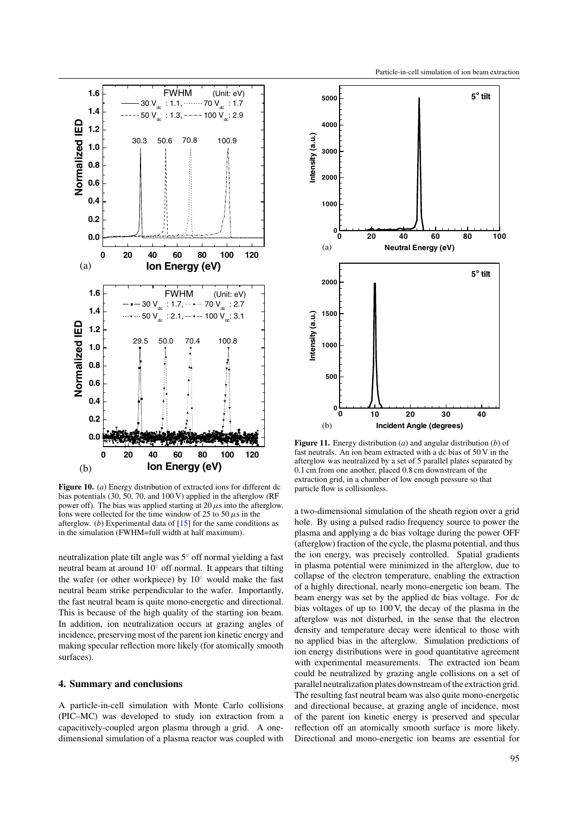<span id="page-5-0"></span>

**Figure 10.** (*a*) Energy distribution of extracted ions for different dc bias potentials (30, 50, 70, and 100 V) applied in the afterglow (RF power off). The bias was applied starting at  $20 \mu s$  into the afterglow. Ions were collected for the time window of 25 to 50  $\mu$ s in the afterglow. (*b*) Experimental data of [\[15\]](#page-6-0) for the same conditions as in the simulation (FWHM=full width at half maximum).

neutralization plate tilt angle was 5◦ off normal yielding a fast neutral beam at around 10◦ off normal. It appears that tilting the wafer (or other workpiece) by 10◦ would make the fast neutral beam strike perpendicular to the wafer. Importantly, the fast neutral beam is quite mono-energetic and directional. This is because of the high quality of the starting ion beam. In addition, ion neutralization occurs at grazing angles of incidence, preserving most of the parent ion kinetic energy and making specular reflection more likely (for atomically smooth surfaces).

# **4. Summary and conclusions**

A particle-in-cell simulation with Monte Carlo collisions (PIC–MC) was developed to study ion extraction from a capacitively-coupled argon plasma through a grid. A onedimensional simulation of a plasma reactor was coupled with



**Figure 11.** Energy distribution (*a*) and angular distribution (*b*) of fast neutrals. An ion beam extracted with a dc bias of 50 V in the afterglow was neutralized by a set of 5 parallel plates separated by 0.1 cm from one another, placed 0.8 cm downstream of the extraction grid, in a chamber of low enough pressure so that particle flow is collisionless.

a two-dimensional simulation of the sheath region over a grid hole. By using a pulsed radio frequency source to power the plasma and applying a dc bias voltage during the power OFF (afterglow) fraction of the cycle, the plasma potential, and thus the ion energy, was precisely controlled. Spatial gradients in plasma potential were minimized in the afterglow, due to collapse of the electron temperature, enabling the extraction of a highly directional, nearly mono-energetic ion beam. The beam energy was set by the applied dc bias voltage. For dc bias voltages of up to 100 V, the decay of the plasma in the afterglow was not disturbed, in the sense that the electron density and temperature decay were identical to those with no applied bias in the afterglow. Simulation predictions of ion energy distributions were in good quantitative agreement with experimental measurements. The extracted ion beam could be neutralized by grazing angle collisions on a set of parallel neutralization plates downstream of the extraction grid. The resulting fast neutral beam was also quite mono-energetic and directional because, at grazing angle of incidence, most of the parent ion kinetic energy is preserved and specular reflection off an atomically smooth surface is more likely. Directional and mono-energetic ion beams are essential for